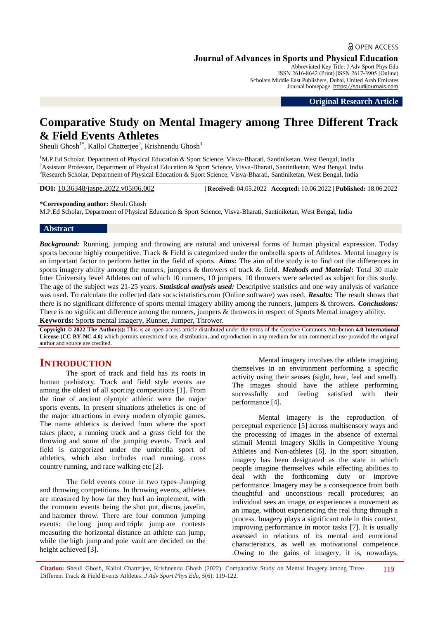**a** OPEN ACCESS

#### **Journal of Advances in Sports and Physical Education**

Abbreviated Key Title: J Adv Sport Phys Edu ISSN 2616-8642 (Print) |ISSN 2617-3905 (Online) Scholars Middle East Publishers, Dubai, United Arab Emirates Journal homepage: [https://saudijournals.com](https://saudijournals.com/jaspe)

**Original Research Article**

# **Comparative Study on Mental Imagery among Three Different Track & Field Events Athletes**

Sheuli Ghosh<sup>1\*</sup>, Kallol Chatterjee<sup>2</sup>, Krishnendu Ghosh<sup>3</sup>

<sup>1</sup>M.P.Ed Scholar, Department of Physical Education & Sport Science, Visva-Bharati, Santiniketan, West Bengal, India <sup>2</sup> Assistant Professor, Department of Physical Education & Sport Science, Visva-Bharati, Santiniketan, West Bengal, India <sup>3</sup>Research Scholar, Department of Physical Education & Sport Science, Visva-Bharati, Santiniketan, West Bengal, India

**DOI:** 10.36348/jaspe.2022.v05i06.002 | **Received:** 04.05.2022 | **Accepted:** 10.06.2022 | **Published:** 18.06.2022

#### **\*Corresponding author:** Sheuli Ghosh

M.P.Ed Scholar, Department of Physical Education & Sport Science, Visva-Bharati, Santiniketan, West Bengal, India

#### **Abstract**

*Background:* Running, jumping and throwing are natural and universal forms of human physical expression. Today sports become highly competitive. Track & Field is categorized under the umbrella sports of Athletes. Mental imagery is an important factor to perform better in the field of sports. *Aims:* The aim of the study is to find out the differences in sports imagery ability among the runners, jumpers & throwers of track & field. *Methods and Material***:** Total 30 male Inter University level Athletes out of which 10 runners, 10 jumpers, 10 throwers were selected as subject for this study. The age of the subject was 21-25 years. *Statistical analysis used:* Descriptive statistics and one way analysis of variance was used. To calculate the collected data socscistatistics.com (Online software) was used. *Results:* The result shows that there is no significant difference of sports mental imagery ability among the runners, jumpers & throwers. *Conclusions:* There is no significant difference among the runners, jumpers & throwers in respect of Sports Mental imagery ability. **Keywords:** Sport**s** mental imagery, Runner, Jumper, Thrower*.*

**Copyright © 2022 The Author(s):** This is an open-access article distributed under the terms of the Creative Commons Attribution **4.0 International License (CC BY-NC 4.0)** which permits unrestricted use, distribution, and reproduction in any medium for non-commercial use provided the original author and source are credited.

## **INTRODUCTION**

The sport of track and field has its roots in human prehistory. Track and field style events are among the oldest of all sporting competitions [1]. From the time of ancient olympic athletic were the major sports events. In present situations atheletics is one of the major attractions in every modern olympic games. The name athletics is derived from where the sport takes place, a running track and a grass field for the throwing and some of the jumping events. Track and field is categorized under the umbrella sport of athletics, which also includes road running, cross country running, and race walking etc [2].

The field events come in two types–Jumping and throwing competitions. In throwing events, athletes are measured by how far they hurl an implement, with the common events being the [shot put,](https://en.wikipedia.org/wiki/Shot_put) [discus,](https://en.wikipedia.org/wiki/Discus_throw) [javelin,](https://en.wikipedia.org/wiki/Javelin_throw) and [hammer throw.](https://en.wikipedia.org/wiki/Hammer_throw) There are four common jumping events: the [long jump](https://en.wikipedia.org/wiki/Long_jump) and [triple jump](https://en.wikipedia.org/wiki/Triple_jump) are contests measuring the horizontal distance an athlete can jump, while the [high jump](https://en.wikipedia.org/wiki/High_jump) and [pole vault](https://en.wikipedia.org/wiki/Pole_vault) are decided on the height achieved [3].

Mental imagery involves the athlete imagining themselves in an environment performing a specific activity using their senses (sight, hear, feel and smell). The images should have the athlete performing successfully and feeling satisfied with their performance [4].

Mental imagery is the reproduction of perceptual experience [5] across multisensory ways and the processing of images in the absence of external stimuli Mental Imagery Skills in Competitive Young Athletes and Non-athletes [6]. In the sport situation, imagery has been designated as the state in which people imagine themselves while effecting abilities to deal with the forthcoming duty or improve performance. Imagery may be a consequence from both thoughtful and unconscious recall procedures; an individual sees an image, or experiences a movement as an image, without experiencing the real thing through a process. Imagery plays a significant role in this context, improving performance in motor tasks [7]. It is usually assessed in relations of its mental and emotional characteristics, as well as motivational competence .Owing to the gains of imagery, it is, nowadays,

**Citation:** Sheuli Ghosh, Kallol Chatterjee, Krishnendu Ghosh (2022). Comparative Study on Mental Imagery among Three Different Track & Field Events Athletes. *J Adv Sport Phys Edu, 5*(6): 119-122. 119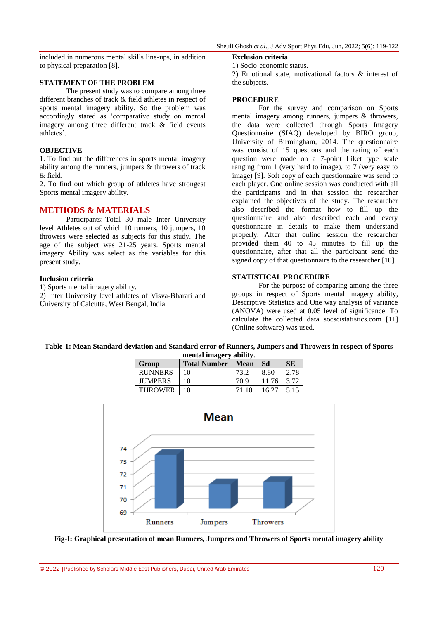included in numerous mental skills line-ups, in addition to physical preparation [8].

#### **STATEMENT OF THE PROBLEM**

The present study was to compare among three different branches of track & field athletes in respect of sports mental imagery ability. So the problem was accordingly stated as "comparative study on mental imagery among three different track & field events athletes'.

#### **OBJECTIVE**

1. To find out the differences in sports mental imagery ability among the runners, jumpers & throwers of track & field.

2. To find out which group of athletes have strongest Sports mental imagery ability.

### **METHODS & MATERIALS**

Participants:-Total 30 male Inter University level Athletes out of which 10 runners, 10 jumpers, 10 throwers were selected as subjects for this study. The age of the subject was 21-25 years. Sports mental imagery Ability was select as the variables for this present study.

#### **Inclusion criteria**

1) Sports mental imagery ability. 2) Inter University level athletes of Visva-Bharati and University of Calcutta, West Bengal, India.

#### **Exclusion criteria**

1) Socio-economic status.

2) Emotional state, motivational factors & interest of the subjects.

#### **PROCEDURE**

For the survey and comparison on Sports mental imagery among runners, jumpers & throwers, the data were collected through Sports Imagery Questionnaire (SIAQ) developed by BIRO group, University of Birmingham, 2014. The questionnaire was consist of 15 questions and the rating of each question were made on a 7-point Liket type scale ranging from 1 (very hard to image), to 7 (very easy to image) [9]. Soft copy of each questionnaire was send to each player. One online session was conducted with all the participants and in that session the researcher explained the objectives of the study. The researcher also described the format how to fill up the questionnaire and also described each and every questionnaire in details to make them understand properly. After that online session the researcher provided them 40 to 45 minutes to fill up the questionnaire, after that all the participant send the signed copy of that questionnaire to the researcher [10].

#### **STATISTICAL PROCEDURE**

For the purpose of comparing among the three groups in respect of Sports mental imagery ability, Descriptive Statistics and One way analysis of variance (ANOVA) were used at 0.05 level of significance. To calculate the collected data socscistatistics.com [11] (Online software) was used.

#### **Table-1: Mean Standard deviation and Standard error of Runners, Jumpers and Throwers in respect of Sports mental imagery ability.**

| пентат пнаger у аршту. |                     |             |       |           |  |  |  |
|------------------------|---------------------|-------------|-------|-----------|--|--|--|
| Group                  | <b>Total Number</b> | <b>Mean</b> | Sd    | <b>SE</b> |  |  |  |
| <b>RUNNERS</b>         | 10                  | 73.2        | 8.80  | 2.78      |  |  |  |
| <b>JUMPERS</b>         | 10                  | 70.9        | 11.76 | 3.72      |  |  |  |
| <b>THROWER</b>         | 10                  | 71 10       | 16.27 | 5.15      |  |  |  |
|                        |                     |             |       |           |  |  |  |



**Fig-I: Graphical presentation of mean Runners, Jumpers and Throwers of Sports mental imagery ability**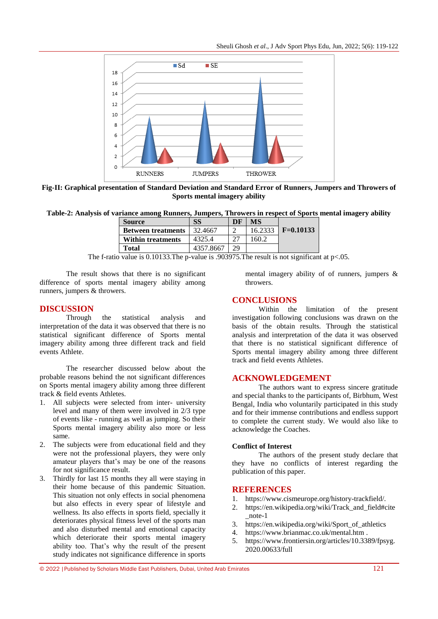Sheuli Ghosh *et al*., J Adv Sport Phys Edu, Jun, 2022; 5(6): 119-122



**Fig-II: Graphical presentation of Standard Deviation and Standard Error of Runners, Jumpers and Throwers of Sports mental imagery ability**

**Table-2: Analysis of variance among Runners, Jumpers, Throwers in respect of Sports mental imagery ability**

| <b>Source</b>             | SS        | DF | МS      |             |
|---------------------------|-----------|----|---------|-------------|
| <b>Between treatments</b> | 32.4667   |    | 16.2333 | $F=0.10133$ |
| <b>Within treatments</b>  | 4325.4    |    | 160 2   |             |
| Total                     | 4357.8667 | 29 |         |             |

The f-ratio value is 0.10133. The p-value is .903975. The result is not significant at  $p<.05$ .

The result shows that there is no significant difference of sports mental imagery ability among runners, jumpers & throwers.

#### **DISCUSSION**

Through the statistical analysis and interpretation of the data it was observed that there is no statistical significant difference of Sports mental imagery ability among three different track and field events Athlete.

The researcher discussed below about the probable reasons behind the not significant differences on Sports mental imagery ability among three different track & field events Athletes.

- 1. All subjects were selected from inter- university level and many of them were involved in 2/3 type of events like - running as well as jumping. So their Sports mental imagery ability also more or less same.
- 2. The subjects were from educational field and they were not the professional players, they were only amateur players that"s may be one of the reasons for not significance result.
- 3. Thirdly for last 15 months they all were staying in their home because of this pandemic Situation. This situation not only effects in social phenomena but also effects in every spear of lifestyle and wellness. Its also effects in sports field, specially it deteriorates physical fitness level of the sports man and also disturbed mental and emotional capacity which deteriorate their sports mental imagery ability too. That's why the result of the present study indicates not significance difference in sports

mental imagery ability of of runners, jumpers & throwers.

#### **CONCLUSIONS**

Within the limitation of the present investigation following conclusions was drawn on the basis of the obtain results. Through the statistical analysis and interpretation of the data it was observed that there is no statistical significant difference of Sports mental imagery ability among three different track and field events Athletes.

#### **ACKNOWLEDGEMENT**

The authors want to express sincere gratitude and special thanks to the participants of, Birbhum, West Bengal, India who voluntarily participated in this study and for their immense contributions and endless support to complete the current study. We would also like to acknowledge the Coaches.

#### **Conflict of Interest**

The authors of the present study declare that they have no conflicts of interest regarding the publication of this paper.

#### **REFERENCES**

- 1. <https://www.cismeurope.org/history-trackfield/>*.*
- 2. [https://en.wikipedia.org/wiki/Track\\_and\\_field#cite](https://en.wikipedia.org/wiki/Track_and_field#cite_note-1)  $\text{note-1}$
- 3. [https://en.wikipedia.org/wiki/Sport\\_of\\_athletics](https://en.wikipedia.org/wiki/Sport_of_athletics)
- 4. <https://www.brianmac.co.uk/mental.htm> .
- 5. [https://www.frontiersin.org/articles/10.3389/fpsyg.](https://www.frontiersin.org/articles/10.3389/fpsyg.2020.00633/full) [2020.00633/full](https://www.frontiersin.org/articles/10.3389/fpsyg.2020.00633/full)